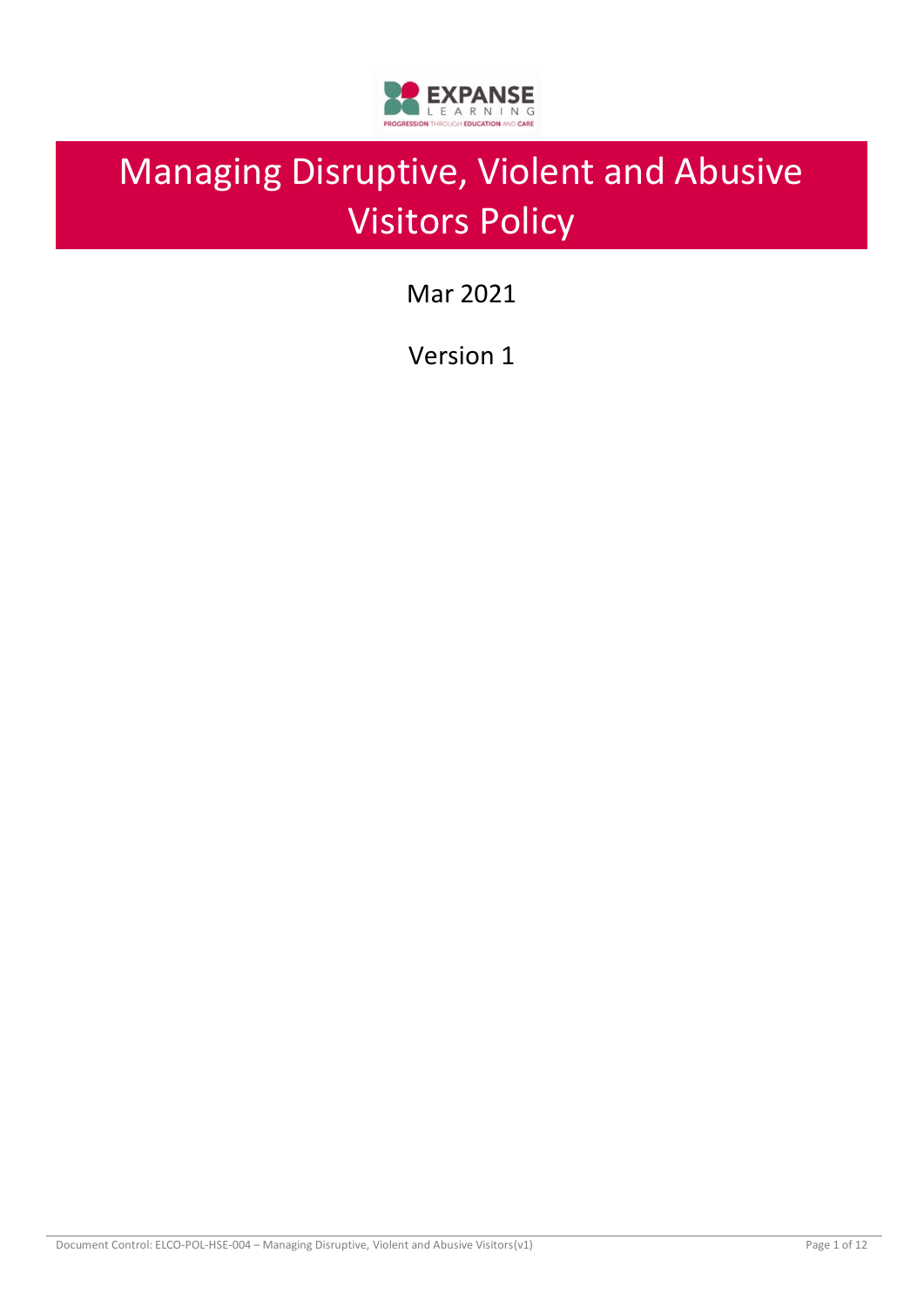

# Managing Disruptive, Violent and Abusive Visitors Policy

Mar 2021

Version 1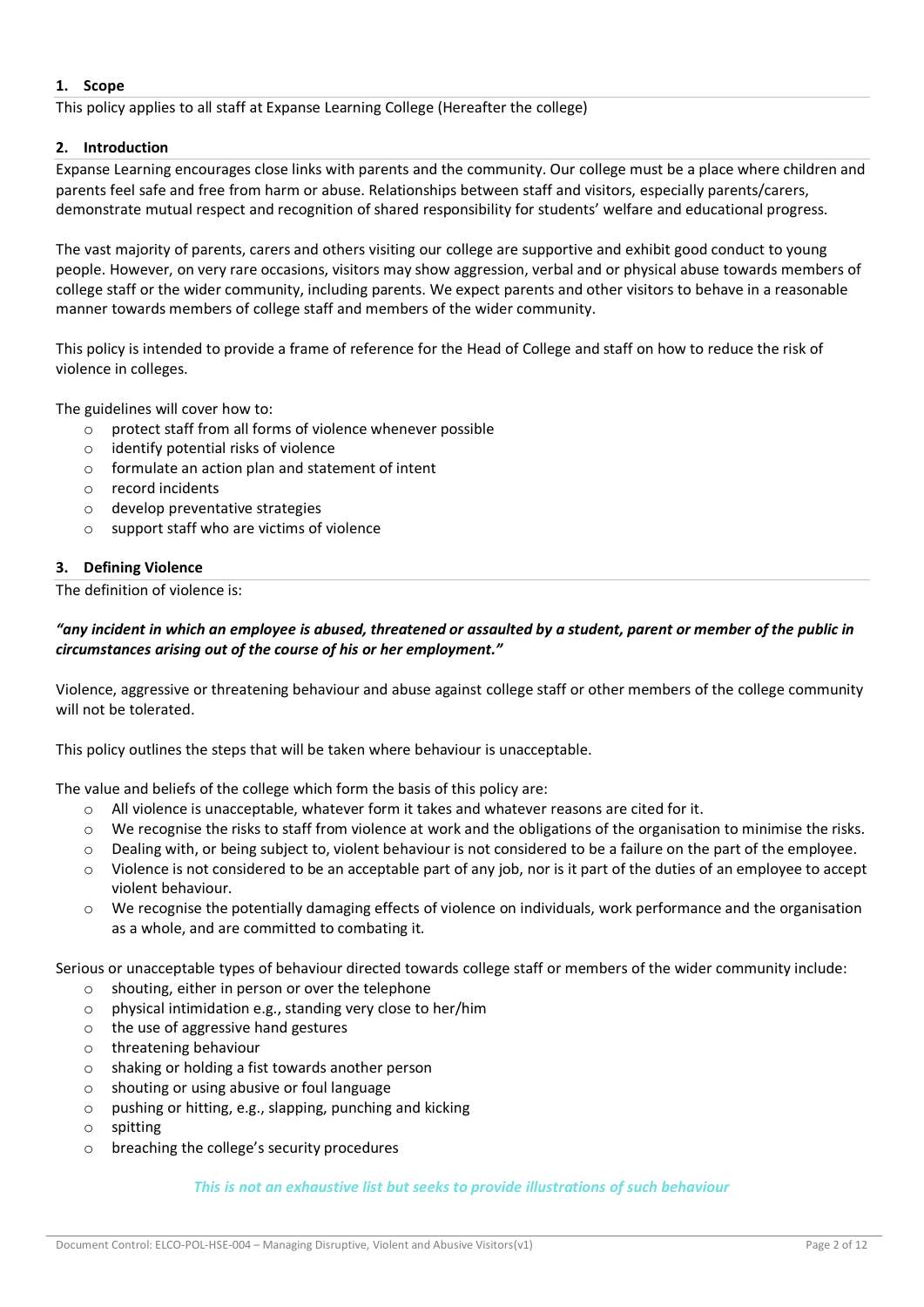#### **1. Scope**

This policy applies to all staff at Expanse Learning College (Hereafter the college)

#### **2. Introduction**

Expanse Learning encourages close links with parents and the community. Our college must be a place where children and parents feel safe and free from harm or abuse. Relationships between staff and visitors, especially parents/carers, demonstrate mutual respect and recognition of shared responsibility for students' welfare and educational progress.

The vast majority of parents, carers and others visiting our college are supportive and exhibit good conduct to young people. However, on very rare occasions, visitors may show aggression, verbal and or physical abuse towards members of college staff or the wider community, including parents. We expect parents and other visitors to behave in a reasonable manner towards members of college staff and members of the wider community.

This policy is intended to provide a frame of reference for the Head of College and staff on how to reduce the risk of violence in colleges.

The guidelines will cover how to:

- o protect staff from all forms of violence whenever possible
- o identify potential risks of violence
- o formulate an action plan and statement of intent
- o record incidents
- o develop preventative strategies
- o support staff who are victims of violence

#### **3. Defining Violence**

The definition of violence is:

#### *"any incident in which an employee is abused, threatened or assaulted by a student, parent or member of the public in circumstances arising out of the course of his or her employment."*

Violence, aggressive or threatening behaviour and abuse against college staff or other members of the college community will not be tolerated.

This policy outlines the steps that will be taken where behaviour is unacceptable.

The value and beliefs of the college which form the basis of this policy are:

- o All violence is unacceptable, whatever form it takes and whatever reasons are cited for it.
- o We recognise the risks to staff from violence at work and the obligations of the organisation to minimise the risks.
- $\circ$  Dealing with, or being subject to, violent behaviour is not considered to be a failure on the part of the employee.
- o Violence is not considered to be an acceptable part of any job, nor is it part of the duties of an employee to accept violent behaviour.
- o We recognise the potentially damaging effects of violence on individuals, work performance and the organisation as a whole, and are committed to combating it.

Serious or unacceptable types of behaviour directed towards college staff or members of the wider community include:

- o shouting, either in person or over the telephone
- o physical intimidation e.g., standing very close to her/him
- o the use of aggressive hand gestures
- o threatening behaviour
- o shaking or holding a fist towards another person
- o shouting or using abusive or foul language
- o pushing or hitting, e.g., slapping, punching and kicking
- o spitting
- o breaching the college's security procedures

#### *This is not an exhaustive list but seeks to provide illustrations of such behaviour*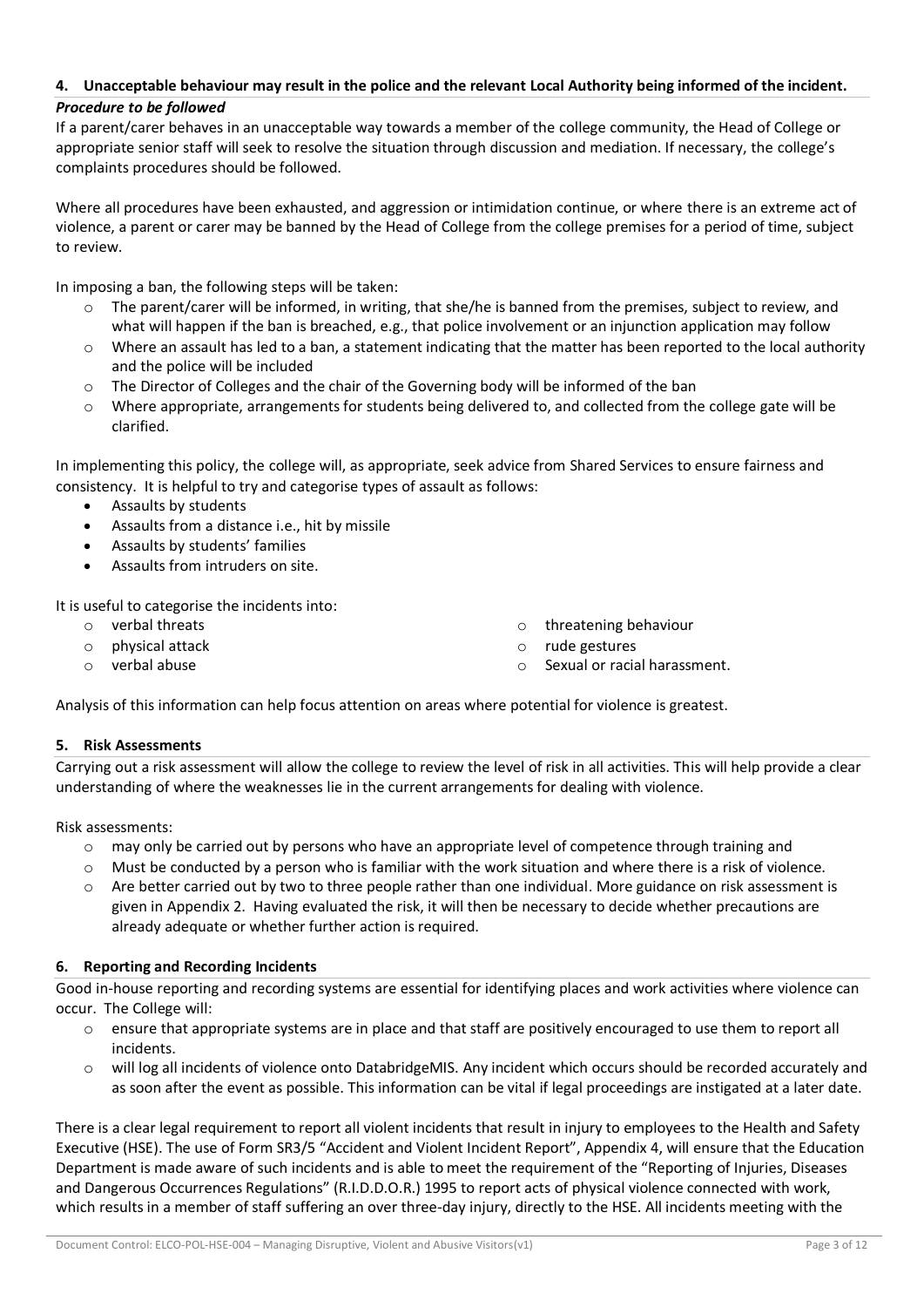## **4. Unacceptable behaviour may result in the police and the relevant Local Authority being informed of the incident.**

#### *Procedure to be followed*

If a parent/carer behaves in an unacceptable way towards a member of the college community, the Head of College or appropriate senior staff will seek to resolve the situation through discussion and mediation. If necessary, the college's complaints procedures should be followed.

Where all procedures have been exhausted, and aggression or intimidation continue, or where there is an extreme act of violence, a parent or carer may be banned by the Head of College from the college premises for a period of time, subject to review.

In imposing a ban, the following steps will be taken:

- o The parent/carer will be informed, in writing, that she/he is banned from the premises, subject to review, and what will happen if the ban is breached, e.g., that police involvement or an injunction application may follow
- o Where an assault has led to a ban, a statement indicating that the matter has been reported to the local authority and the police will be included
- o The Director of Colleges and the chair of the Governing body will be informed of the ban
- o Where appropriate, arrangements for students being delivered to, and collected from the college gate will be clarified.

In implementing this policy, the college will, as appropriate, seek advice from Shared Services to ensure fairness and consistency. It is helpful to try and categorise types of assault as follows:

- Assaults by students
- Assaults from a distance i.e., hit by missile
- Assaults by students' families
- Assaults from intruders on site.

It is useful to categorise the incidents into:

- o verbal threats
- o physical attack
- o verbal abuse
- o threatening behaviour
- o rude gestures
- o Sexual or racial harassment.

Analysis of this information can help focus attention on areas where potential for violence is greatest.

#### **5. Risk Assessments**

Carrying out a risk assessment will allow the college to review the level of risk in all activities. This will help provide a clear understanding of where the weaknesses lie in the current arrangements for dealing with violence.

Risk assessments:

- o may only be carried out by persons who have an appropriate level of competence through training and
- $\circ$  Must be conducted by a person who is familiar with the work situation and where there is a risk of violence.
- $\circ$  Are better carried out by two to three people rather than one individual. More guidance on risk assessment is given in Appendix 2. Having evaluated the risk, it will then be necessary to decide whether precautions are already adequate or whether further action is required.

#### **6. Reporting and Recording Incidents**

Good in-house reporting and recording systems are essential for identifying places and work activities where violence can occur. The College will:

- $\circ$  ensure that appropriate systems are in place and that staff are positively encouraged to use them to report all incidents.
- o will log all incidents of violence onto DatabridgeMIS. Any incident which occurs should be recorded accurately and as soon after the event as possible. This information can be vital if legal proceedings are instigated at a later date.

There is a clear legal requirement to report all violent incidents that result in injury to employees to the Health and Safety Executive (HSE). The use of Form SR3/5 "Accident and Violent Incident Report", Appendix 4, will ensure that the Education Department is made aware of such incidents and is able to meet the requirement of the "Reporting of Injuries, Diseases and Dangerous Occurrences Regulations" (R.I.D.D.O.R.) 1995 to report acts of physical violence connected with work, which results in a member of staff suffering an over three-day injury, directly to the HSE. All incidents meeting with the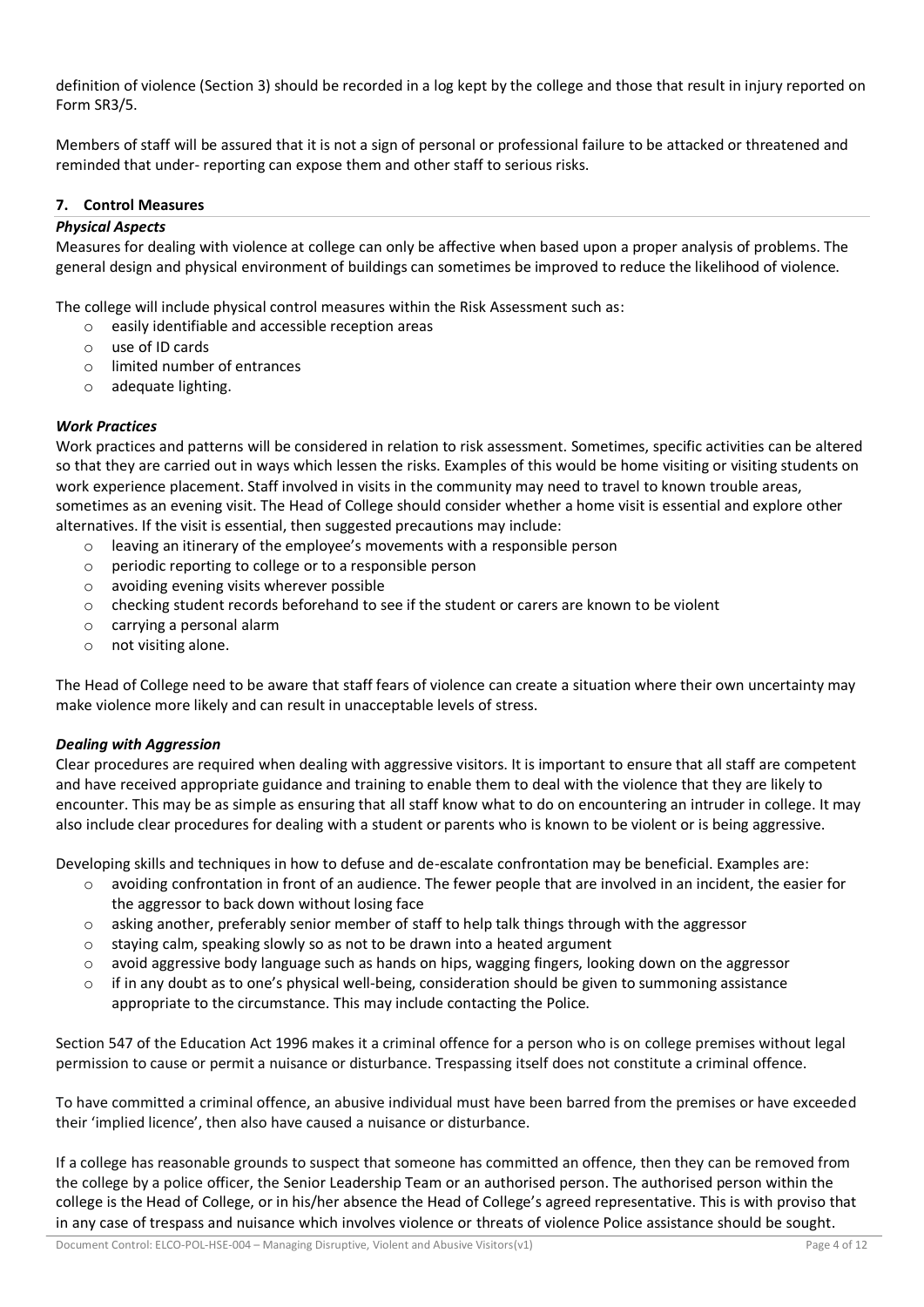definition of violence (Section 3) should be recorded in a log kept by the college and those that result in injury reported on Form SR3/5.

Members of staff will be assured that it is not a sign of personal or professional failure to be attacked or threatened and reminded that under- reporting can expose them and other staff to serious risks.

#### **7. Control Measures**

#### *Physical Aspects*

Measures for dealing with violence at college can only be affective when based upon a proper analysis of problems. The general design and physical environment of buildings can sometimes be improved to reduce the likelihood of violence.

The college will include physical control measures within the Risk Assessment such as:

- o easily identifiable and accessible reception areas
- o use of ID cards
- o limited number of entrances
- o adequate lighting.

#### *Work Practices*

Work practices and patterns will be considered in relation to risk assessment. Sometimes, specific activities can be altered so that they are carried out in ways which lessen the risks. Examples of this would be home visiting or visiting students on work experience placement. Staff involved in visits in the community may need to travel to known trouble areas, sometimes as an evening visit. The Head of College should consider whether a home visit is essential and explore other alternatives. If the visit is essential, then suggested precautions may include:

- o leaving an itinerary of the employee's movements with a responsible person
- o periodic reporting to college or to a responsible person
- o avoiding evening visits wherever possible
- o checking student records beforehand to see if the student or carers are known to be violent
- o carrying a personal alarm
- o not visiting alone.

The Head of College need to be aware that staff fears of violence can create a situation where their own uncertainty may make violence more likely and can result in unacceptable levels of stress.

#### *Dealing with Aggression*

Clear procedures are required when dealing with aggressive visitors. It is important to ensure that all staff are competent and have received appropriate guidance and training to enable them to deal with the violence that they are likely to encounter. This may be as simple as ensuring that all staff know what to do on encountering an intruder in college. It may also include clear procedures for dealing with a student or parents who is known to be violent or is being aggressive.

Developing skills and techniques in how to defuse and de-escalate confrontation may be beneficial. Examples are:

- o avoiding confrontation in front of an audience. The fewer people that are involved in an incident, the easier for the aggressor to back down without losing face
- $\circ$  asking another, preferably senior member of staff to help talk things through with the aggressor
- $\circ$  staving calm, speaking slowly so as not to be drawn into a heated argument
- $\circ$  avoid aggressive body language such as hands on hips, wagging fingers, looking down on the aggressor
- $\circ$  if in any doubt as to one's physical well-being, consideration should be given to summoning assistance appropriate to the circumstance. This may include contacting the Police.

Section 547 of the Education Act 1996 makes it a criminal offence for a person who is on college premises without legal permission to cause or permit a nuisance or disturbance. Trespassing itself does not constitute a criminal offence.

To have committed a criminal offence, an abusive individual must have been barred from the premises or have exceeded their 'implied licence', then also have caused a nuisance or disturbance.

If a college has reasonable grounds to suspect that someone has committed an offence, then they can be removed from the college by a police officer, the Senior Leadership Team or an authorised person. The authorised person within the college is the Head of College, or in his/her absence the Head of College's agreed representative. This is with proviso that in any case of trespass and nuisance which involves violence or threats of violence Police assistance should be sought.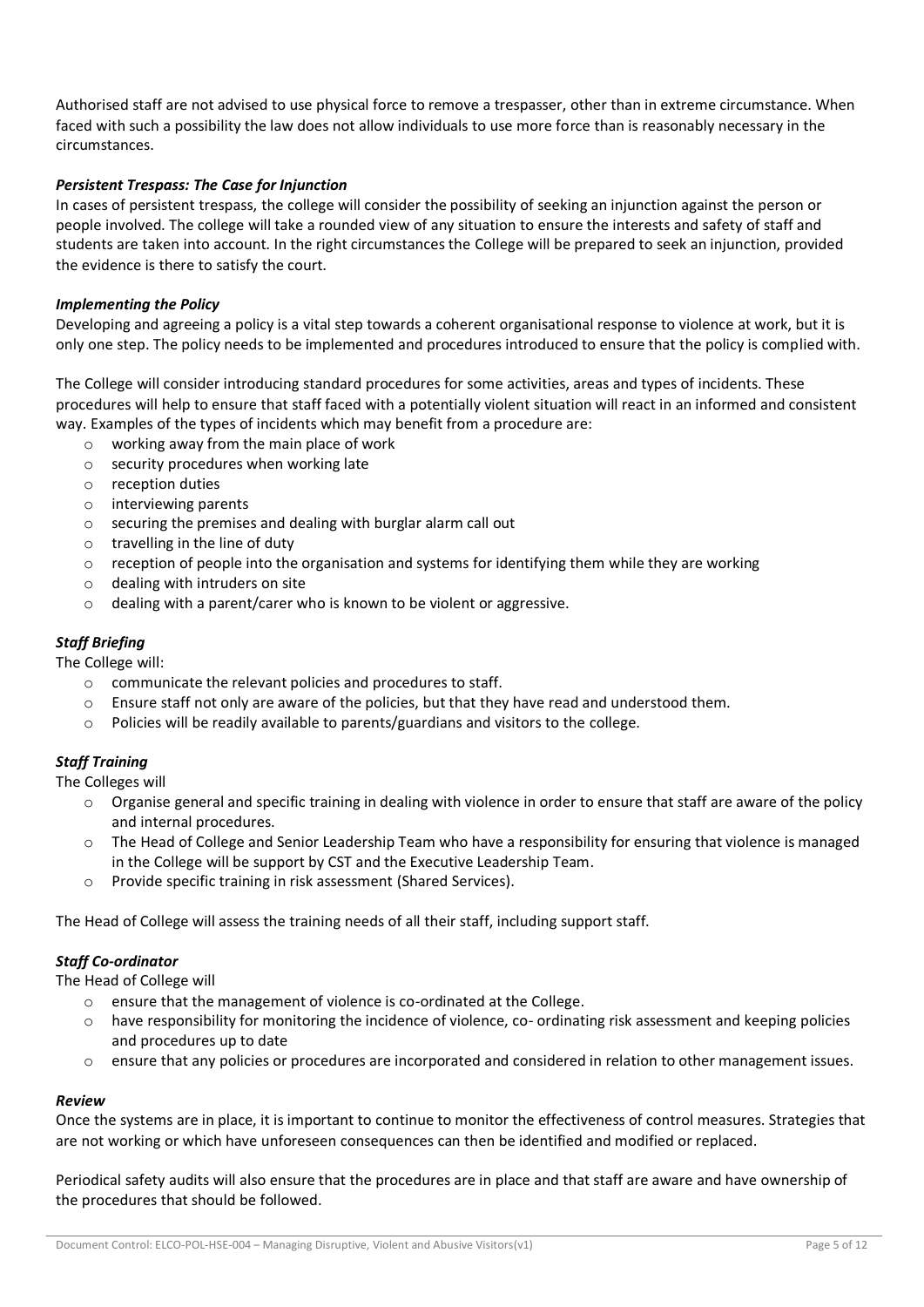Authorised staff are not advised to use physical force to remove a trespasser, other than in extreme circumstance. When faced with such a possibility the law does not allow individuals to use more force than is reasonably necessary in the circumstances.

#### *Persistent Trespass: The Case for Injunction*

In cases of persistent trespass, the college will consider the possibility of seeking an injunction against the person or people involved. The college will take a rounded view of any situation to ensure the interests and safety of staff and students are taken into account. In the right circumstances the College will be prepared to seek an injunction, provided the evidence is there to satisfy the court.

#### *Implementing the Policy*

Developing and agreeing a policy is a vital step towards a coherent organisational response to violence at work, but it is only one step. The policy needs to be implemented and procedures introduced to ensure that the policy is complied with.

The College will consider introducing standard procedures for some activities, areas and types of incidents. These procedures will help to ensure that staff faced with a potentially violent situation will react in an informed and consistent way. Examples of the types of incidents which may benefit from a procedure are:

- o working away from the main place of work
- o security procedures when working late
- o reception duties
- o interviewing parents
- o securing the premises and dealing with burglar alarm call out
- $\circ$  travelling in the line of duty
- o reception of people into the organisation and systems for identifying them while they are working
- o dealing with intruders on site
- o dealing with a parent/carer who is known to be violent or aggressive.

#### *Staff Briefing*

The College will:

- o communicate the relevant policies and procedures to staff.
- $\circ$  Ensure staff not only are aware of the policies, but that they have read and understood them.
- $\circ$  Policies will be readily available to parents/guardians and visitors to the college.

#### *Staff Training*

The Colleges will

- o Organise general and specific training in dealing with violence in order to ensure that staff are aware of the policy and internal procedures.
- o The Head of College and Senior Leadership Team who have a responsibility for ensuring that violence is managed in the College will be support by CST and the Executive Leadership Team.
- o Provide specific training in risk assessment (Shared Services).

The Head of College will assess the training needs of all their staff, including support staff.

#### *Staff Co-ordinator*

The Head of College will

- o ensure that the management of violence is co-ordinated at the College.
- o have responsibility for monitoring the incidence of violence, co- ordinating risk assessment and keeping policies and procedures up to date
- o ensure that any policies or procedures are incorporated and considered in relation to other management issues.

#### *Review*

Once the systems are in place, it is important to continue to monitor the effectiveness of control measures. Strategies that are not working or which have unforeseen consequences can then be identified and modified or replaced.

Periodical safety audits will also ensure that the procedures are in place and that staff are aware and have ownership of the procedures that should be followed.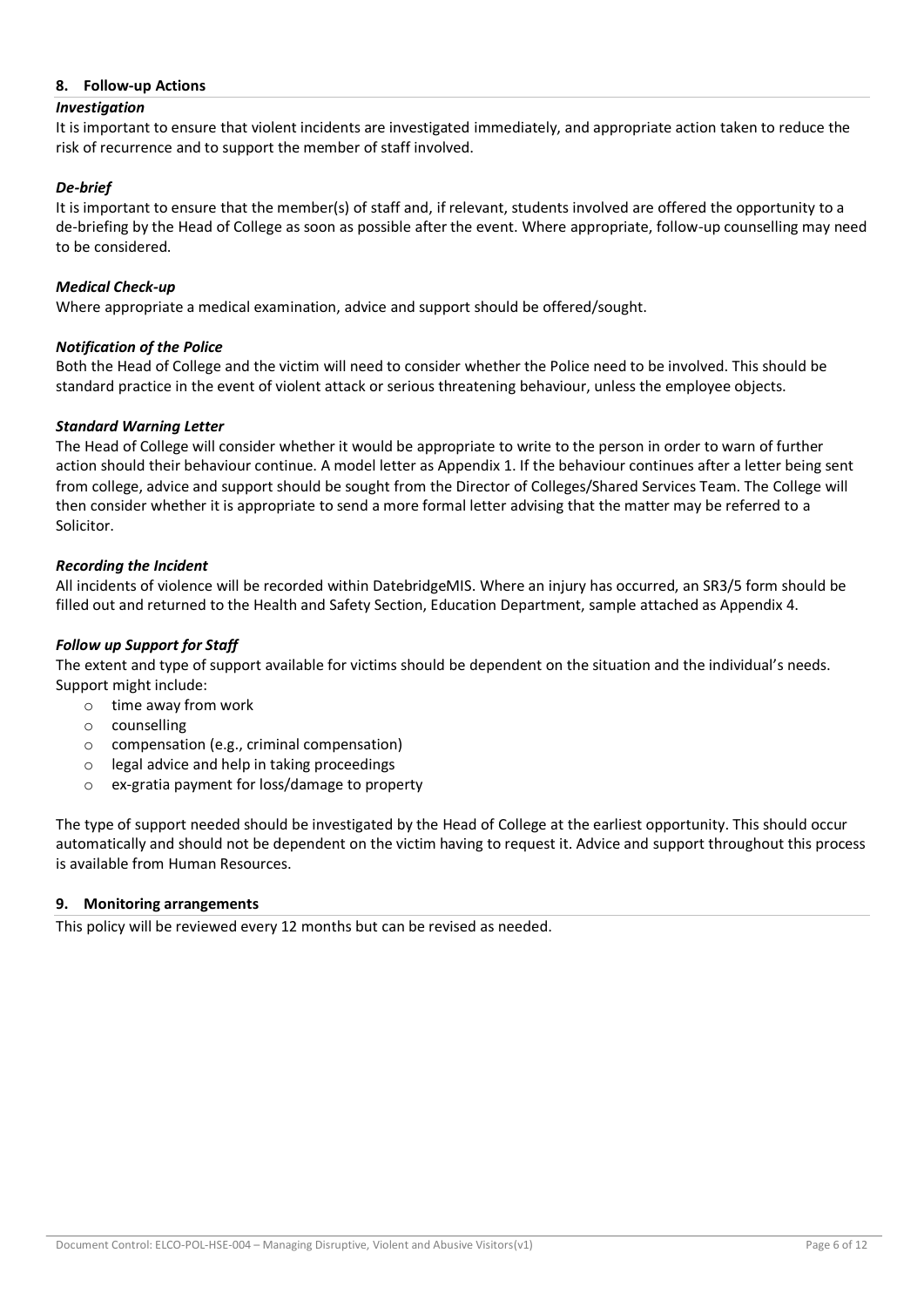#### **8. Follow-up Actions**

#### *Investigation*

It is important to ensure that violent incidents are investigated immediately, and appropriate action taken to reduce the risk of recurrence and to support the member of staff involved.

#### *De-brief*

It is important to ensure that the member(s) of staff and, if relevant, students involved are offered the opportunity to a de-briefing by the Head of College as soon as possible after the event. Where appropriate, follow-up counselling may need to be considered.

#### *Medical Check-up*

Where appropriate a medical examination, advice and support should be offered/sought.

#### *Notification of the Police*

Both the Head of College and the victim will need to consider whether the Police need to be involved. This should be standard practice in the event of violent attack or serious threatening behaviour, unless the employee objects.

#### *Standard Warning Letter*

The Head of College will consider whether it would be appropriate to write to the person in order to warn of further action should their behaviour continue. A model letter as Appendix 1. If the behaviour continues after a letter being sent from college, advice and support should be sought from the Director of Colleges/Shared Services Team. The College will then consider whether it is appropriate to send a more formal letter advising that the matter may be referred to a Solicitor.

#### *Recording the Incident*

All incidents of violence will be recorded within DatebridgeMIS. Where an injury has occurred, an SR3/5 form should be filled out and returned to the Health and Safety Section, Education Department, sample attached as Appendix 4.

#### *Follow up Support for Staff*

The extent and type of support available for victims should be dependent on the situation and the individual's needs. Support might include:

- o time away from work
- o counselling
- o compensation (e.g., criminal compensation)
- o legal advice and help in taking proceedings
- o ex-gratia payment for loss/damage to property

The type of support needed should be investigated by the Head of College at the earliest opportunity. This should occur automatically and should not be dependent on the victim having to request it. Advice and support throughout this process is available from Human Resources.

#### **9. Monitoring arrangements**

This policy will be reviewed every 12 months but can be revised as needed.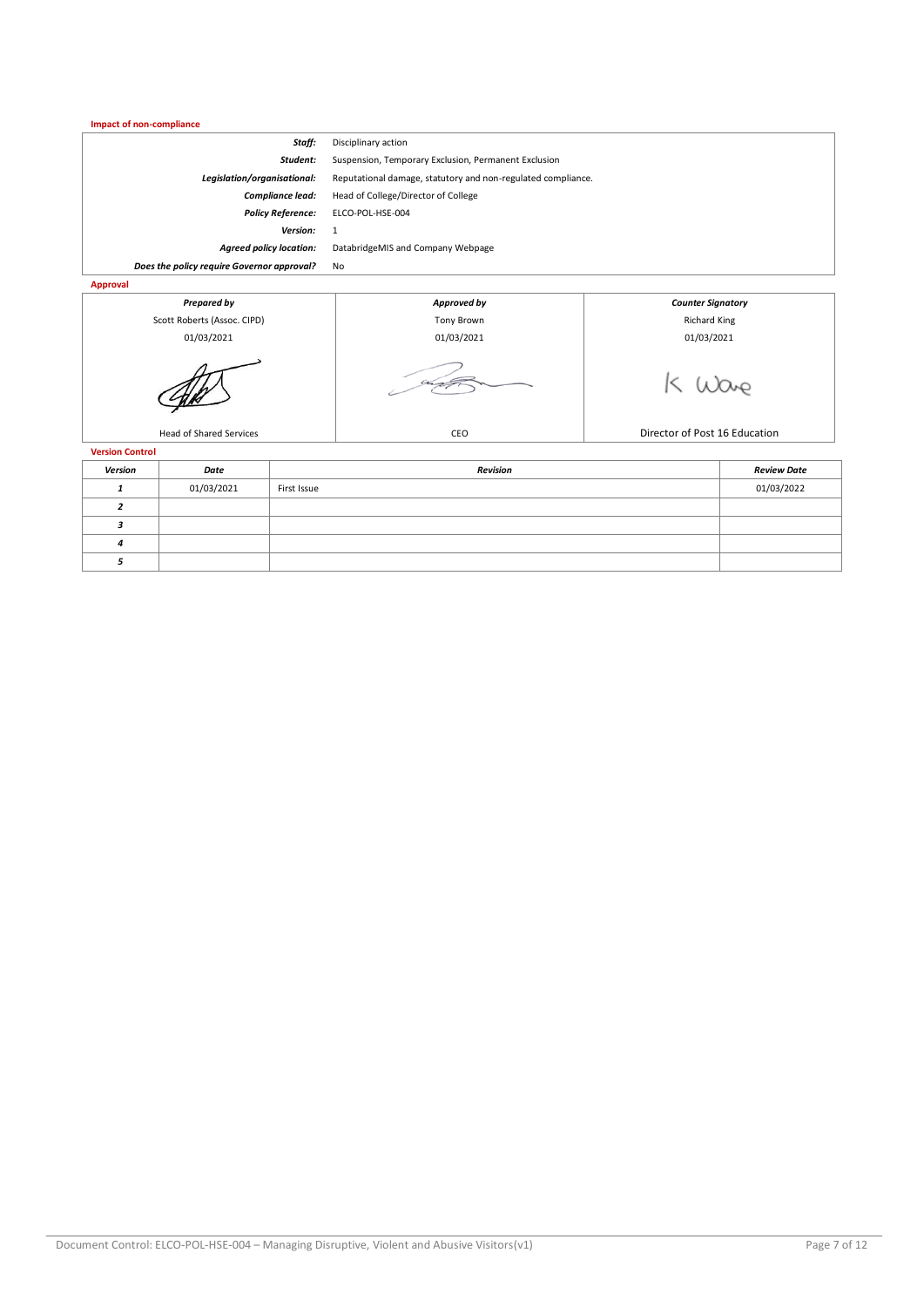**Impact of non-compliance**

| Staff:                                     | Disciplinary action                                          |
|--------------------------------------------|--------------------------------------------------------------|
| Student:                                   | Suspension, Temporary Exclusion, Permanent Exclusion         |
| Legislation/organisational:                | Reputational damage, statutory and non-regulated compliance. |
| Compliance lead:                           | Head of College/Director of College                          |
| <b>Policy Reference:</b>                   | ELCO-POL-HSE-004                                             |
| Version:                                   |                                                              |
| <b>Agreed policy location:</b>             | DatabridgeMIS and Company Webpage                            |
| Does the policy require Governor approval? | No                                                           |
|                                            |                                                              |

**Approval**



**Version Control**

| <b>ACIMINI COUNDI</b> |            |             |                    |  |  |  |
|-----------------------|------------|-------------|--------------------|--|--|--|
| Version               | Date       | Revision    | <b>Review Date</b> |  |  |  |
|                       | 01/03/2021 | First Issue | 01/03/2022         |  |  |  |
|                       |            |             |                    |  |  |  |
|                       |            |             |                    |  |  |  |
|                       |            |             |                    |  |  |  |
|                       |            |             |                    |  |  |  |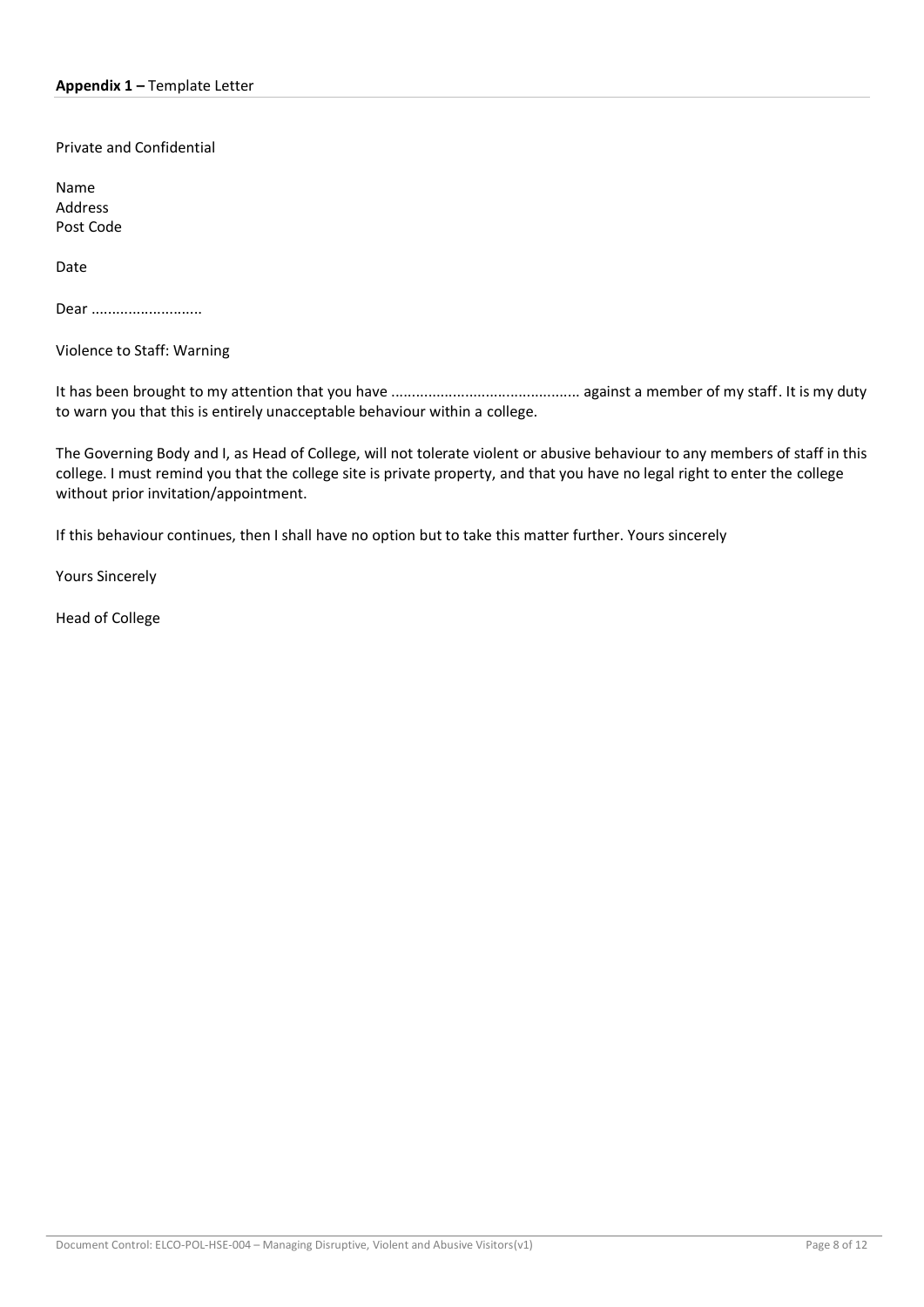Private and Confidential

Name Address Post Code

Date

Dear ...........................

Violence to Staff: Warning

It has been brought to my attention that you have .............................................. against a member of my staff. It is my duty to warn you that this is entirely unacceptable behaviour within a college.

The Governing Body and I, as Head of College, will not tolerate violent or abusive behaviour to any members of staff in this college. I must remind you that the college site is private property, and that you have no legal right to enter the college without prior invitation/appointment.

If this behaviour continues, then I shall have no option but to take this matter further. Yours sincerely

Yours Sincerely

Head of College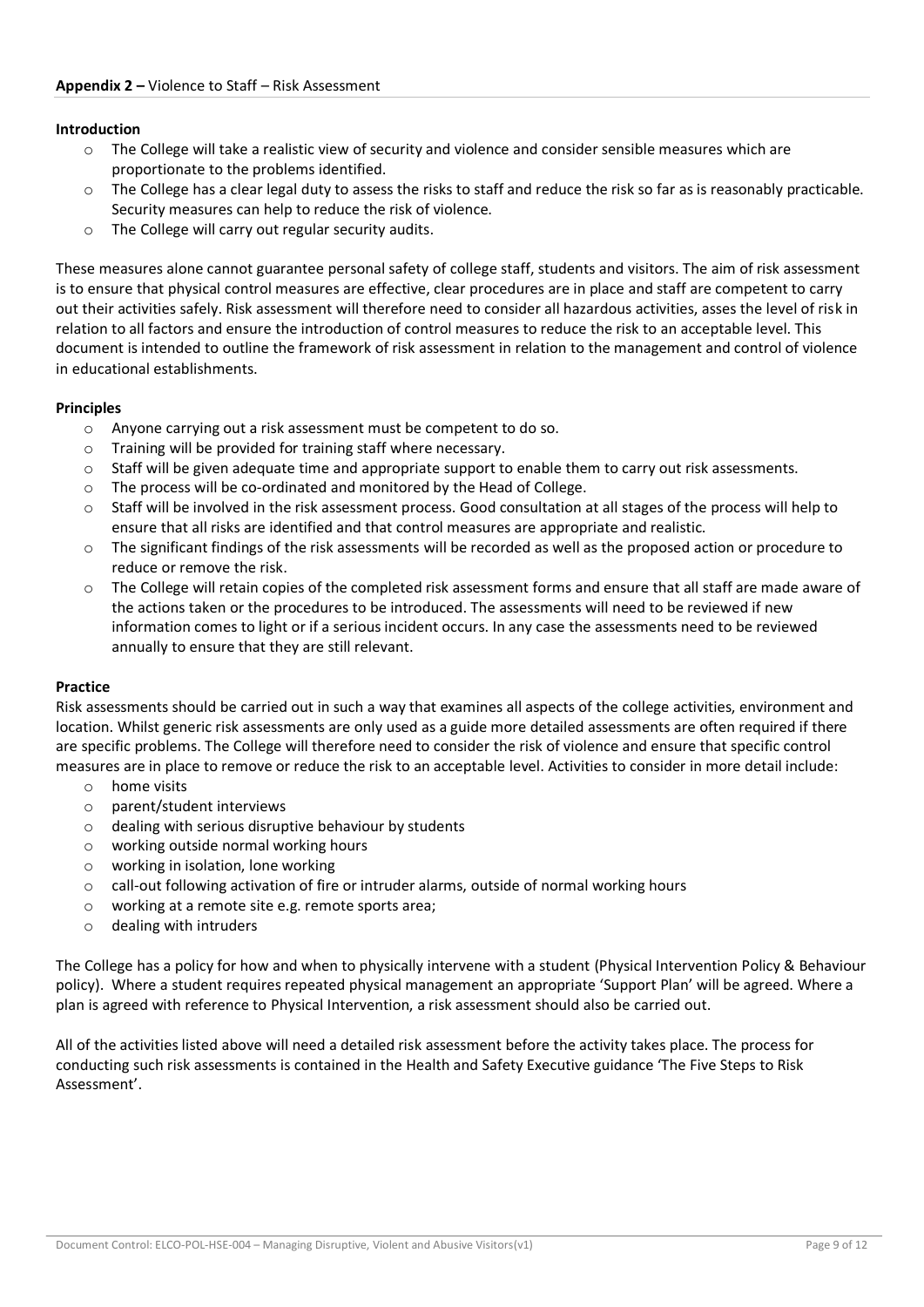#### **Introduction**

- o The College will take a realistic view of security and violence and consider sensible measures which are proportionate to the problems identified.
- $\circ$  The College has a clear legal duty to assess the risks to staff and reduce the risk so far as is reasonably practicable. Security measures can help to reduce the risk of violence.
- o The College will carry out regular security audits.

These measures alone cannot guarantee personal safety of college staff, students and visitors. The aim of risk assessment is to ensure that physical control measures are effective, clear procedures are in place and staff are competent to carry out their activities safely. Risk assessment will therefore need to consider all hazardous activities, asses the level of risk in relation to all factors and ensure the introduction of control measures to reduce the risk to an acceptable level. This document is intended to outline the framework of risk assessment in relation to the management and control of violence in educational establishments.

#### **Principles**

- o Anyone carrying out a risk assessment must be competent to do so.
- o Training will be provided for training staff where necessary.
- $\circ$  Staff will be given adequate time and appropriate support to enable them to carry out risk assessments.
- o The process will be co-ordinated and monitored by the Head of College.
- $\circ$  Staff will be involved in the risk assessment process. Good consultation at all stages of the process will help to ensure that all risks are identified and that control measures are appropriate and realistic.
- o The significant findings of the risk assessments will be recorded as well as the proposed action or procedure to reduce or remove the risk.
- $\circ$  The College will retain copies of the completed risk assessment forms and ensure that all staff are made aware of the actions taken or the procedures to be introduced. The assessments will need to be reviewed if new information comes to light or if a serious incident occurs. In any case the assessments need to be reviewed annually to ensure that they are still relevant.

#### **Practice**

Risk assessments should be carried out in such a way that examines all aspects of the college activities, environment and location. Whilst generic risk assessments are only used as a guide more detailed assessments are often required if there are specific problems. The College will therefore need to consider the risk of violence and ensure that specific control measures are in place to remove or reduce the risk to an acceptable level. Activities to consider in more detail include:

- o home visits
- o parent/student interviews
- $\circ$  dealing with serious disruptive behaviour by students
- o working outside normal working hours
- o working in isolation, lone working
- o call-out following activation of fire or intruder alarms, outside of normal working hours
- o working at a remote site e.g. remote sports area;
- o dealing with intruders

The College has a policy for how and when to physically intervene with a student (Physical Intervention Policy & Behaviour policy). Where a student requires repeated physical management an appropriate 'Support Plan' will be agreed. Where a plan is agreed with reference to Physical Intervention, a risk assessment should also be carried out.

All of the activities listed above will need a detailed risk assessment before the activity takes place. The process for conducting such risk assessments is contained in the Health and Safety Executive guidance 'The Five Steps to Risk Assessment'.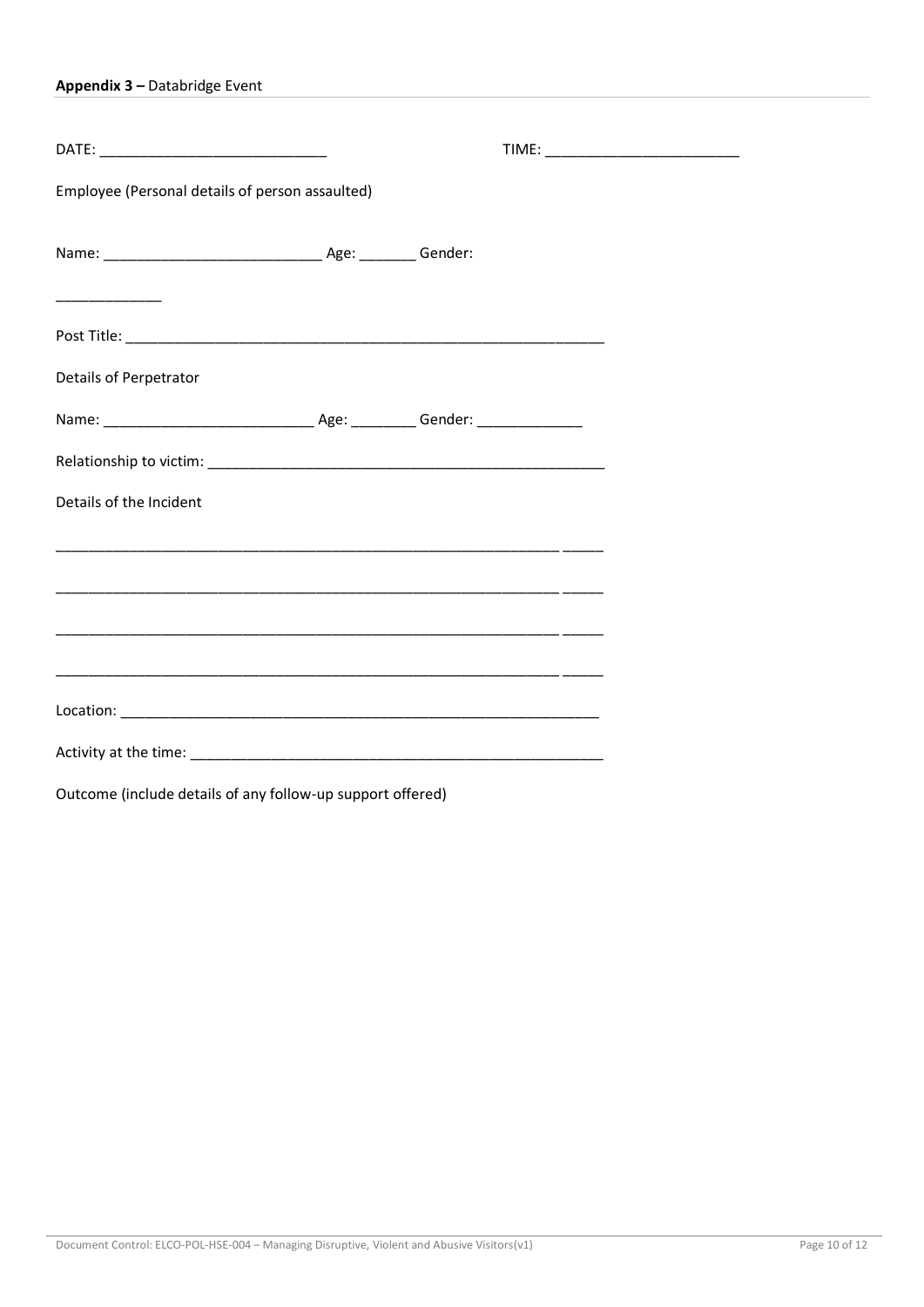## **Appendix 3 –** Databridge Event

| Employee (Personal details of person assaulted) |  |  |  |  |  |  |
|-------------------------------------------------|--|--|--|--|--|--|
|                                                 |  |  |  |  |  |  |
|                                                 |  |  |  |  |  |  |
| Details of Perpetrator                          |  |  |  |  |  |  |
|                                                 |  |  |  |  |  |  |
|                                                 |  |  |  |  |  |  |
| Details of the Incident                         |  |  |  |  |  |  |
|                                                 |  |  |  |  |  |  |
|                                                 |  |  |  |  |  |  |
|                                                 |  |  |  |  |  |  |
|                                                 |  |  |  |  |  |  |
|                                                 |  |  |  |  |  |  |
|                                                 |  |  |  |  |  |  |

Outcome (include details of any follow-up support offered)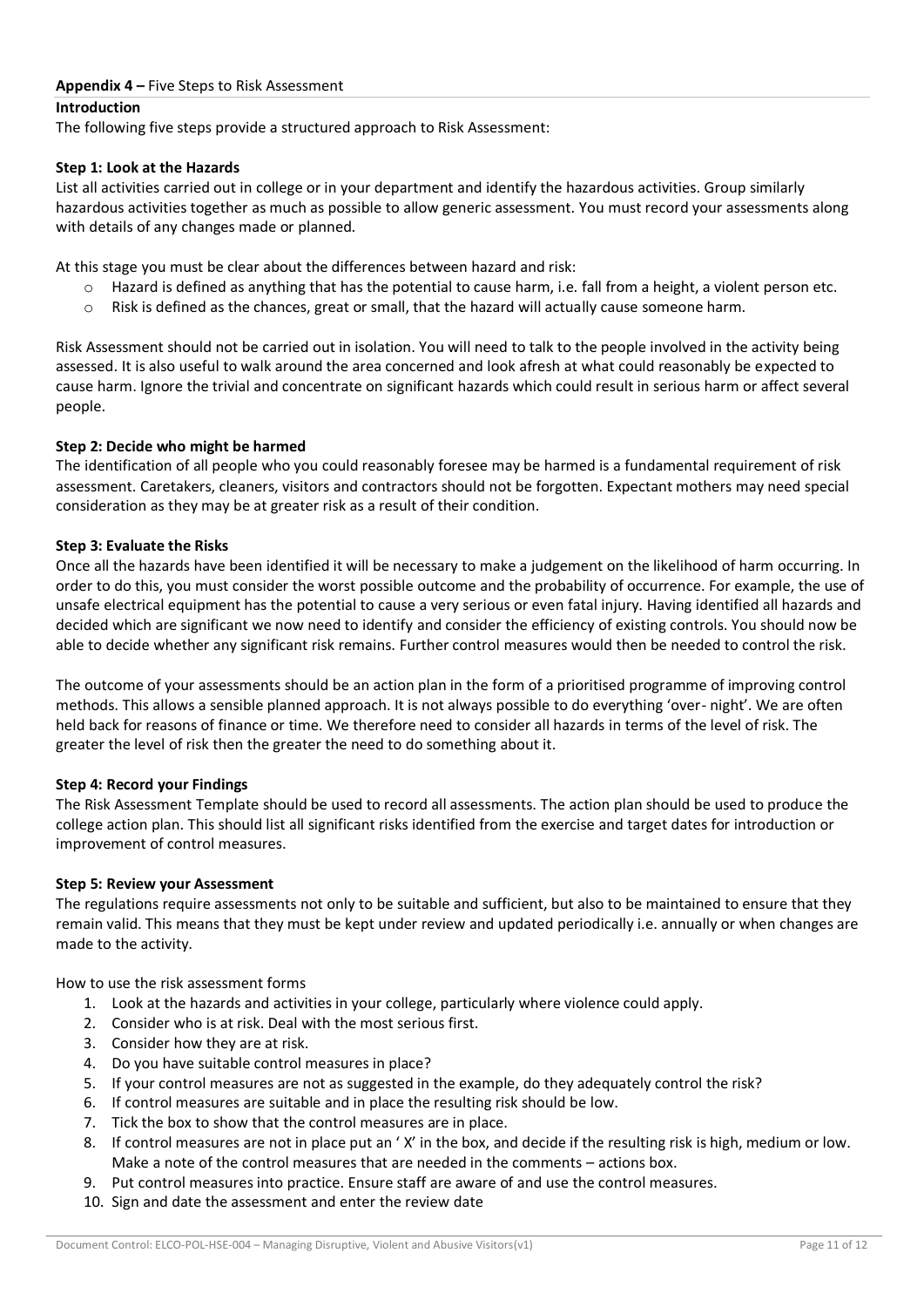#### **Appendix 4 –** Five Steps to Risk Assessment

#### **Introduction**

The following five steps provide a structured approach to Risk Assessment:

#### **Step 1: Look at the Hazards**

List all activities carried out in college or in your department and identify the hazardous activities. Group similarly hazardous activities together as much as possible to allow generic assessment. You must record your assessments along with details of any changes made or planned.

At this stage you must be clear about the differences between hazard and risk:

- $\circ$  Hazard is defined as anything that has the potential to cause harm, i.e. fall from a height, a violent person etc.
- $\circ$  Risk is defined as the chances, great or small, that the hazard will actually cause someone harm.

Risk Assessment should not be carried out in isolation. You will need to talk to the people involved in the activity being assessed. It is also useful to walk around the area concerned and look afresh at what could reasonably be expected to cause harm. Ignore the trivial and concentrate on significant hazards which could result in serious harm or affect several people.

#### **Step 2: Decide who might be harmed**

The identification of all people who you could reasonably foresee may be harmed is a fundamental requirement of risk assessment. Caretakers, cleaners, visitors and contractors should not be forgotten. Expectant mothers may need special consideration as they may be at greater risk as a result of their condition.

#### **Step 3: Evaluate the Risks**

Once all the hazards have been identified it will be necessary to make a judgement on the likelihood of harm occurring. In order to do this, you must consider the worst possible outcome and the probability of occurrence. For example, the use of unsafe electrical equipment has the potential to cause a very serious or even fatal injury. Having identified all hazards and decided which are significant we now need to identify and consider the efficiency of existing controls. You should now be able to decide whether any significant risk remains. Further control measures would then be needed to control the risk.

The outcome of your assessments should be an action plan in the form of a prioritised programme of improving control methods. This allows a sensible planned approach. It is not always possible to do everything 'over- night'. We are often held back for reasons of finance or time. We therefore need to consider all hazards in terms of the level of risk. The greater the level of risk then the greater the need to do something about it.

#### **Step 4: Record your Findings**

The Risk Assessment Template should be used to record all assessments. The action plan should be used to produce the college action plan. This should list all significant risks identified from the exercise and target dates for introduction or improvement of control measures.

#### **Step 5: Review your Assessment**

The regulations require assessments not only to be suitable and sufficient, but also to be maintained to ensure that they remain valid. This means that they must be kept under review and updated periodically i.e. annually or when changes are made to the activity.

How to use the risk assessment forms

- 1. Look at the hazards and activities in your college, particularly where violence could apply.
- 2. Consider who is at risk. Deal with the most serious first.
- 3. Consider how they are at risk.
- 4. Do you have suitable control measures in place?
- 5. If your control measures are not as suggested in the example, do they adequately control the risk?
- 6. If control measures are suitable and in place the resulting risk should be low.
- 7. Tick the box to show that the control measures are in place.
- 8. If control measures are not in place put an ' X' in the box, and decide if the resulting risk is high, medium or low. Make a note of the control measures that are needed in the comments – actions box.
- 9. Put control measures into practice. Ensure staff are aware of and use the control measures.
- 10. Sign and date the assessment and enter the review date